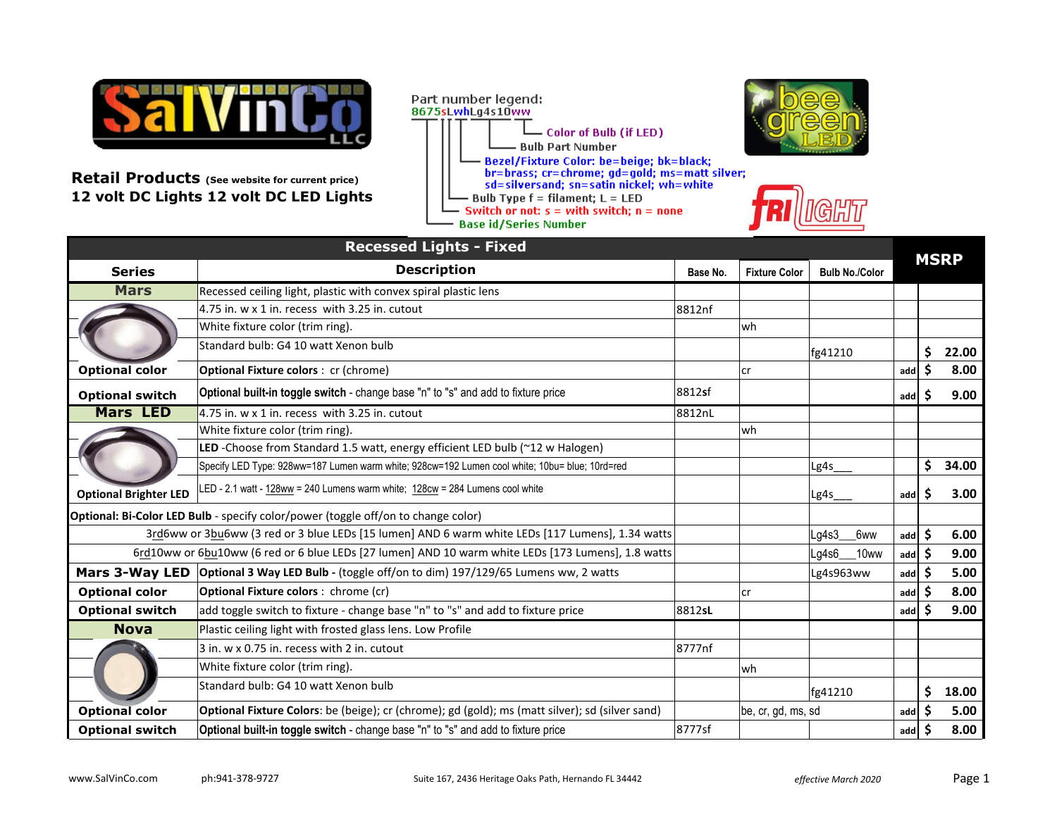

**Retail Products (See website for current price) 12 volt DC Lights 12 volt DC LED Lights** 







|                              | <b>Recessed Lights - Fixed</b>                                                                     |          |                      |                       |     |    |             |
|------------------------------|----------------------------------------------------------------------------------------------------|----------|----------------------|-----------------------|-----|----|-------------|
| <b>Series</b>                | <b>Description</b>                                                                                 | Base No. | <b>Fixture Color</b> | <b>Bulb No./Color</b> |     |    | <b>MSRP</b> |
| <b>Mars</b>                  | Recessed ceiling light, plastic with convex spiral plastic lens                                    |          |                      |                       |     |    |             |
|                              | 4.75 in. w x 1 in. recess with 3.25 in. cutout                                                     | 8812nf   |                      |                       |     |    |             |
|                              | White fixture color (trim ring).                                                                   |          | wh                   |                       |     |    |             |
|                              | Standard bulb: G4 10 watt Xenon bulb                                                               |          |                      | fg41210               |     | \$ | 22.00       |
| <b>Optional color</b>        | <b>Optional Fixture colors: cr (chrome)</b>                                                        |          | lcr                  |                       | add | Ś  | 8.00        |
| <b>Optional switch</b>       | Optional built-in toggle switch - change base "n" to "s" and add to fixture price                  | 8812sf   |                      |                       | add |    | 9.00        |
| <b>Mars LED</b>              | 4.75 in, w x 1 in, recess with 3.25 in, cutout                                                     | 8812nL   |                      |                       |     |    |             |
|                              | White fixture color (trim ring).                                                                   |          | wh                   |                       |     |    |             |
|                              | LED -Choose from Standard 1.5 watt, energy efficient LED bulb (~12 w Halogen)                      |          |                      |                       |     |    |             |
|                              | Specify LED Type: 928ww=187 Lumen warm white; 928cw=192 Lumen cool white; 10bu= blue; 10rd=red     |          |                      | Lg4s                  |     | \$ | 34.00       |
| <b>Optional Brighter LED</b> | LED - 2.1 watt - 128ww = 240 Lumens warm white; 128cw = 284 Lumens cool white                      |          |                      | Lg4s                  | add | Ś  | 3.00        |
|                              | Optional: Bi-Color LED Bulb - specify color/power (toggle off/on to change color)                  |          |                      |                       |     |    |             |
|                              | 3rd6ww or 3bu6ww (3 red or 3 blue LEDs [15 lumen] AND 6 warm white LEDs [117 Lumens], 1.34 watts   |          |                      | Lg4s3<br>6ww          | add | \$ | 6.00        |
|                              | 6rd10ww or 6bu10ww (6 red or 6 blue LEDs [27 lumen] AND 10 warm white LEDs [173 Lumens], 1.8 watts |          |                      | Lg4s6<br>10ww         | add | \$ | 9.00        |
| <b>Mars 3-Way LED</b>        | Optional 3 Way LED Bulb - (toggle off/on to dim) 197/129/65 Lumens ww, 2 watts                     |          |                      | Lg4s963ww             | add | S  | 5.00        |
| <b>Optional color</b>        | <b>Optional Fixture colors:</b> chrome (cr)                                                        |          | lcr                  |                       | add |    | 8.00        |
| <b>Optional switch</b>       | add toggle switch to fixture - change base "n" to "s" and add to fixture price                     | 8812sL   |                      |                       | add |    | 9.00        |
| <b>Nova</b>                  | Plastic ceiling light with frosted glass lens. Low Profile                                         |          |                      |                       |     |    |             |
|                              | 3 in. w x 0.75 in. recess with 2 in. cutout                                                        | 8777nf   |                      |                       |     |    |             |
|                              | White fixture color (trim ring).                                                                   |          | wh                   |                       |     |    |             |
|                              | Standard bulb: G4 10 watt Xenon bulb                                                               |          |                      | fg41210               |     | \$ | 18.00       |
| <b>Optional color</b>        | Optional Fixture Colors: be (beige); cr (chrome); gd (gold); ms (matt silver); sd (silver sand)    |          | be, cr, gd, ms, sd   |                       | add | Ś  | 5.00        |
| <b>Optional switch</b>       | Optional built-in toggle switch - change base "n" to "s" and add to fixture price                  | 8777sf   |                      |                       | add | \$ | 8.00        |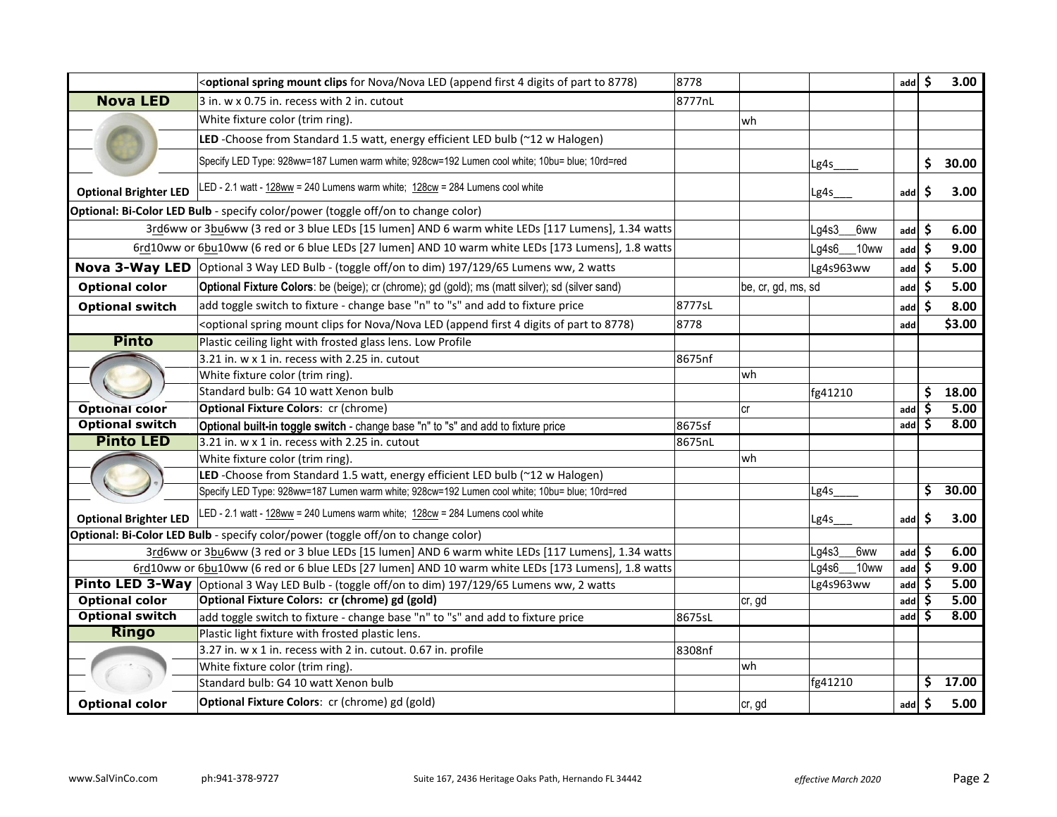|                              | <optional (append="" 4="" 8778)<="" clips="" digits="" first="" for="" led="" mount="" nova="" of="" part="" spring="" th="" to=""><th>8778</th><th></th><th></th><th></th><th>add</th><th>\$</th><th>3.00</th></optional> | 8778   |                    |           |      | add               | \$ | 3.00   |
|------------------------------|----------------------------------------------------------------------------------------------------------------------------------------------------------------------------------------------------------------------------|--------|--------------------|-----------|------|-------------------|----|--------|
| <b>Nova LED</b>              | 3 in. w x 0.75 in. recess with 2 in. cutout                                                                                                                                                                                | 8777nL |                    |           |      |                   |    |        |
|                              | White fixture color (trim ring).                                                                                                                                                                                           |        | wh                 |           |      |                   |    |        |
|                              | LED -Choose from Standard 1.5 watt, energy efficient LED bulb (~12 w Halogen)                                                                                                                                              |        |                    |           |      |                   |    |        |
|                              | Specify LED Type: 928ww=187 Lumen warm white; 928cw=192 Lumen cool white; 10bu= blue; 10rd=red                                                                                                                             |        |                    | Lg4s      |      |                   | \$ | 30.00  |
| <b>Optional Brighter LED</b> | LED - 2.1 watt - 128ww = 240 Lumens warm white; 128cw = 284 Lumens cool white                                                                                                                                              |        |                    | Lg4s      |      | add               | \$ | 3.00   |
|                              | Optional: Bi-Color LED Bulb - specify color/power (toggle off/on to change color)                                                                                                                                          |        |                    |           |      |                   |    |        |
|                              | 3rd6ww or 3bu6ww (3 red or 3 blue LEDs [15 lumen] AND 6 warm white LEDs [117 Lumens], 1.34 watts                                                                                                                           |        |                    | Lg4s3     | 6ww  | add               | -S | 6.00   |
|                              | 6rd10ww or 6bu10ww (6 red or 6 blue LEDs [27 lumen] AND 10 warm white LEDs [173 Lumens], 1.8 watts                                                                                                                         |        |                    | Lg4s6_    | 10ww | add               | \$ | 9.00   |
|                              | Nova 3-Way LED   Optional 3 Way LED Bulb - (toggle off/on to dim) 197/129/65 Lumens ww, 2 watts                                                                                                                            |        |                    | Lg4s963ww |      | add $\frac{1}{2}$ |    | 5.00   |
| <b>Optional color</b>        | Optional Fixture Colors: be (beige); cr (chrome); gd (gold); ms (matt silver); sd (silver sand)                                                                                                                            |        | be, cr, gd, ms, sd |           |      | add               | S  | 5.00   |
| <b>Optional switch</b>       | add toggle switch to fixture - change base "n" to "s" and add to fixture price                                                                                                                                             | 8777sL |                    |           |      | add               | Ŝ. | 8.00   |
|                              | <optional (append="" 4="" 8778)<="" clips="" digits="" first="" for="" led="" mount="" nova="" of="" part="" spring="" td="" to=""><td>8778</td><td></td><td></td><td></td><td>add</td><td></td><td>\$3.00</td></optional> | 8778   |                    |           |      | add               |    | \$3.00 |
| <b>Pinto</b>                 | Plastic ceiling light with frosted glass lens. Low Profile                                                                                                                                                                 |        |                    |           |      |                   |    |        |
|                              | 3.21 in. w x 1 in. recess with 2.25 in. cutout                                                                                                                                                                             | 8675nf |                    |           |      |                   |    |        |
|                              | White fixture color (trim ring).                                                                                                                                                                                           |        | wh                 |           |      |                   |    |        |
|                              | Standard bulb: G4 10 watt Xenon bulb                                                                                                                                                                                       |        |                    | fg41210   |      |                   | \$ | 18.00  |
| <b>Optional color</b>        | <b>Optional Fixture Colors: cr (chrome)</b>                                                                                                                                                                                |        | Сľ                 |           |      | add               | S  | 5.00   |
| <b>Optional switch</b>       | Optional built-in toggle switch - change base "n" to "s" and add to fixture price                                                                                                                                          | 8675sf |                    |           |      | add               | Ś  | 8.00   |
| <b>Pinto LED</b>             | 3.21 in. w x 1 in. recess with 2.25 in. cutout                                                                                                                                                                             | 8675nL |                    |           |      |                   |    |        |
|                              | White fixture color (trim ring).                                                                                                                                                                                           |        | wh                 |           |      |                   |    |        |
|                              | LED -Choose from Standard 1.5 watt, energy efficient LED bulb (~12 w Halogen)                                                                                                                                              |        |                    |           |      |                   |    |        |
|                              | Specify LED Type: 928ww=187 Lumen warm white; 928cw=192 Lumen cool white; 10bu= blue; 10rd=red                                                                                                                             |        |                    | Lg4s      |      |                   | \$ | 30.00  |
| <b>Optional Brighter LED</b> | LED - 2.1 watt - 128ww = 240 Lumens warm white; 128cw = 284 Lumens cool white                                                                                                                                              |        |                    | Lg4s      |      | add               | \$ | 3.00   |
|                              | Optional: Bi-Color LED Bulb - specify color/power (toggle off/on to change color)                                                                                                                                          |        |                    |           |      |                   |    |        |
|                              | 3rd6ww or 3bu6ww (3 red or 3 blue LEDs [15 lumen] AND 6 warm white LEDs [117 Lumens], 1.34 watts                                                                                                                           |        |                    | Lg4s3     | 6ww  | add               | S  | 6.00   |
|                              | 6rd10ww or 6bu10ww (6 red or 6 blue LEDs [27 lumen] AND 10 warm white LEDs [173 Lumens], 1.8 watts                                                                                                                         |        |                    | Lg4s6     | 10ww | add               | \$ | 9.00   |
|                              | Pinto LED 3-Way   Optional 3 Way LED Bulb - (toggle off/on to dim) 197/129/65 Lumens ww, 2 watts                                                                                                                           |        |                    | Lg4s963ww |      | add               | \$ | 5.00   |
| <b>Optional color</b>        | Optional Fixture Colors: cr (chrome) gd (gold)                                                                                                                                                                             |        | cr, gd             |           |      | add               |    | 5.00   |
| <b>Optional switch</b>       | add toggle switch to fixture - change base "n" to "s" and add to fixture price                                                                                                                                             | 8675sL |                    |           |      | add               | S  | 8.00   |
| <b>Ringo</b>                 | Plastic light fixture with frosted plastic lens.                                                                                                                                                                           |        |                    |           |      |                   |    |        |
|                              | $3.27$ in. w x 1 in. recess with 2 in. cutout. 0.67 in. profile                                                                                                                                                            | 8308nf |                    |           |      |                   |    |        |
|                              | White fixture color (trim ring).                                                                                                                                                                                           |        | wh                 |           |      |                   |    |        |
|                              | Standard bulb: G4 10 watt Xenon bulb                                                                                                                                                                                       |        |                    | fg41210   |      |                   | \$ | 17.00  |
| <b>Optional color</b>        | Optional Fixture Colors: cr (chrome) gd (gold)                                                                                                                                                                             |        | cr, gd             |           |      | add               | \$ | 5.00   |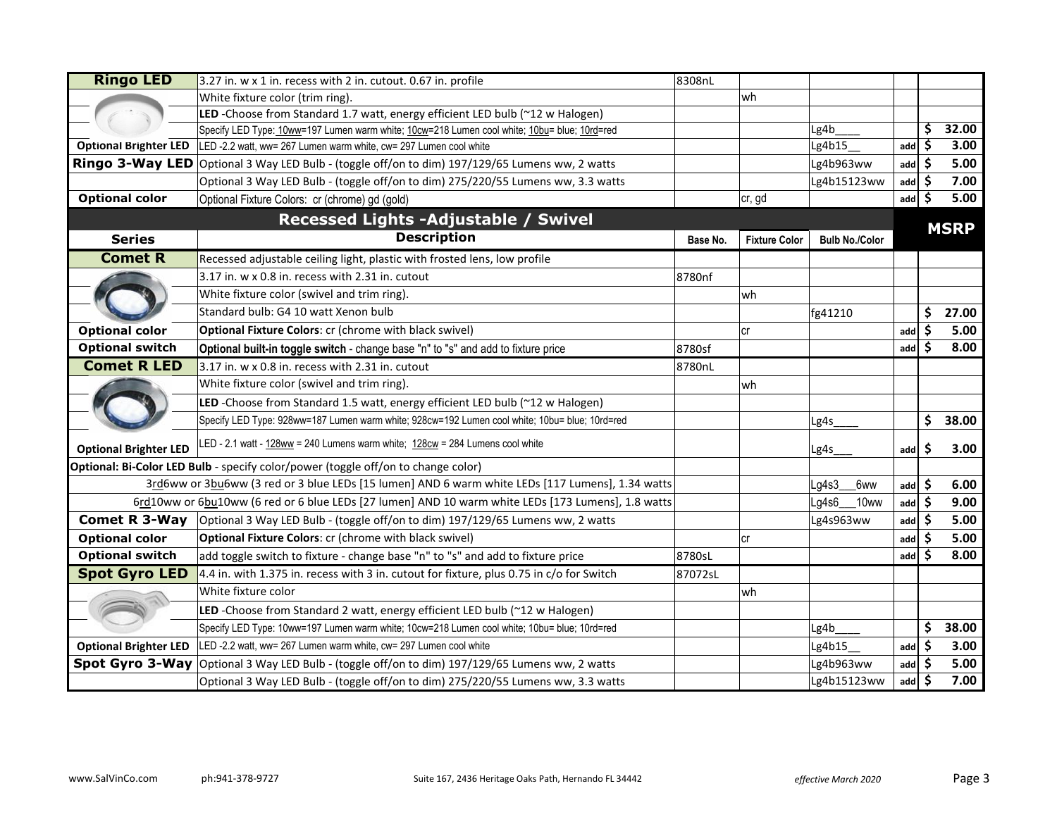| <b>Ringo LED</b>             | 3.27 in. w x 1 in. recess with 2 in. cutout. 0.67 in. profile                                      | 8308nL   |                      |                       |     |     |             |
|------------------------------|----------------------------------------------------------------------------------------------------|----------|----------------------|-----------------------|-----|-----|-------------|
|                              | White fixture color (trim ring).                                                                   |          | wh                   |                       |     |     |             |
|                              | LED -Choose from Standard 1.7 watt, energy efficient LED bulb (~12 w Halogen)                      |          |                      |                       |     |     |             |
|                              | Specify LED Type: 10ww=197 Lumen warm white; 10cw=218 Lumen cool white; 10bu= blue; 10rd=red       |          |                      | Lg4b                  |     | \$  | 32.00       |
| <b>Optional Brighter LED</b> | LED -2.2 watt, ww= 267 Lumen warm white, cw= 297 Lumen cool white                                  |          |                      | Lg4b15                | add | \$  | 3.00        |
|                              | Ringo 3-Way LED Optional 3 Way LED Bulb - (toggle off/on to dim) 197/129/65 Lumens ww, 2 watts     |          |                      | Lg4b963ww             | add | \$. | 5.00        |
|                              | Optional 3 Way LED Bulb - (toggle off/on to dim) 275/220/55 Lumens ww, 3.3 watts                   |          |                      | Lg4b15123ww           | add | \$  | 7.00        |
| <b>Optional color</b>        | Optional Fixture Colors: cr (chrome) gd (gold)                                                     |          | ∣cr, gd              |                       | add | Ŝ.  | 5.00        |
|                              | Recessed Lights - Adjustable / Swivel                                                              |          |                      |                       |     |     |             |
| <b>Series</b>                | <b>Description</b>                                                                                 | Base No. | <b>Fixture Color</b> | <b>Bulb No./Color</b> |     |     | <b>MSRP</b> |
| <b>Comet R</b>               | Recessed adjustable ceiling light, plastic with frosted lens, low profile                          |          |                      |                       |     |     |             |
|                              | $3.17$ in. w x 0.8 in. recess with 2.31 in. cutout                                                 | 8780nf   |                      |                       |     |     |             |
|                              | White fixture color (swivel and trim ring).                                                        |          | wh                   |                       |     |     |             |
|                              | Standard bulb: G4 10 watt Xenon bulb                                                               |          |                      | fg41210               |     | \$  | 27.00       |
| <b>Optional color</b>        | Optional Fixture Colors: cr (chrome with black swivel)                                             |          | cr                   |                       | add | \$  | 5.00        |
| <b>Optional switch</b>       | Optional built-in toggle switch - change base "n" to "s" and add to fixture price                  | 8780sf   |                      |                       | add | Ŝ.  | 8.00        |
| <b>Comet R LED</b>           | 3.17 in. w x 0.8 in. recess with 2.31 in. cutout                                                   | 8780nL   |                      |                       |     |     |             |
|                              | White fixture color (swivel and trim ring).                                                        |          | wh                   |                       |     |     |             |
|                              | LED -Choose from Standard 1.5 watt, energy efficient LED bulb (~12 w Halogen)                      |          |                      |                       |     |     |             |
|                              | Specify LED Type: 928ww=187 Lumen warm white; 928cw=192 Lumen cool white; 10bu= blue; 10rd=red     |          |                      | Lg4s                  |     | \$  | 38.00       |
| <b>Optional Brighter LED</b> | LED - 2.1 watt - 128ww = 240 Lumens warm white; 128cw = 284 Lumens cool white                      |          |                      | Lg4s <sub>.</sub>     | add | \$  | 3.00        |
|                              | Optional: Bi-Color LED Bulb - specify color/power (toggle off/on to change color)                  |          |                      |                       |     |     |             |
|                              | 3rd6ww or 3bu6ww (3 red or 3 blue LEDs [15 lumen] AND 6 warm white LEDs [117 Lumens], 1.34 watts   |          |                      | Lg4s3<br>6ww          | add | \$. | 6.00        |
|                              | 6rd10ww or 6bu10ww (6 red or 6 blue LEDs [27 lumen] AND 10 warm white LEDs [173 Lumens], 1.8 watts |          |                      | Lg4s6<br>10ww         | add | Ŝ.  | 9.00        |
| <b>Comet R 3-Way</b>         | Optional 3 Way LED Bulb - (toggle off/on to dim) 197/129/65 Lumens ww, 2 watts                     |          |                      | Lg4s963ww             | add | Ŝ.  | 5.00        |
| <b>Optional color</b>        | Optional Fixture Colors: cr (chrome with black swivel)                                             |          | lcr                  |                       | add |     | 5.00        |
| <b>Optional switch</b>       | add toggle switch to fixture - change base "n" to "s" and add to fixture price                     | 8780sL   |                      |                       | add | S   | 8.00        |
| <b>Spot Gyro LED</b>         | $4.4$ in. with 1.375 in. recess with 3 in. cutout for fixture, plus 0.75 in c/o for Switch         | 87072sL  |                      |                       |     |     |             |
|                              | White fixture color                                                                                |          | wh                   |                       |     |     |             |
|                              | LED -Choose from Standard 2 watt, energy efficient LED bulb (~12 w Halogen)                        |          |                      |                       |     |     |             |
|                              | Specify LED Type: 10ww=197 Lumen warm white; 10cw=218 Lumen cool white; 10bu= blue; 10rd=red       |          |                      | Lg4b                  |     | \$  | 38.00       |
| <b>Optional Brighter LED</b> | LED -2.2 watt, ww= 267 Lumen warm white, cw= 297 Lumen cool white                                  |          |                      | Lg4b15                | add | S   | 3.00        |
| <b>Spot Gyro 3-Way</b>       | Optional 3 Way LED Bulb - (toggle off/on to dim) 197/129/65 Lumens ww, 2 watts                     |          |                      | Lg4b963ww             | add | \$. | 5.00        |
|                              | Optional 3 Way LED Bulb - (toggle off/on to dim) 275/220/55 Lumens ww, 3.3 watts                   |          |                      | Lg4b15123ww           | add | \$  | 7.00        |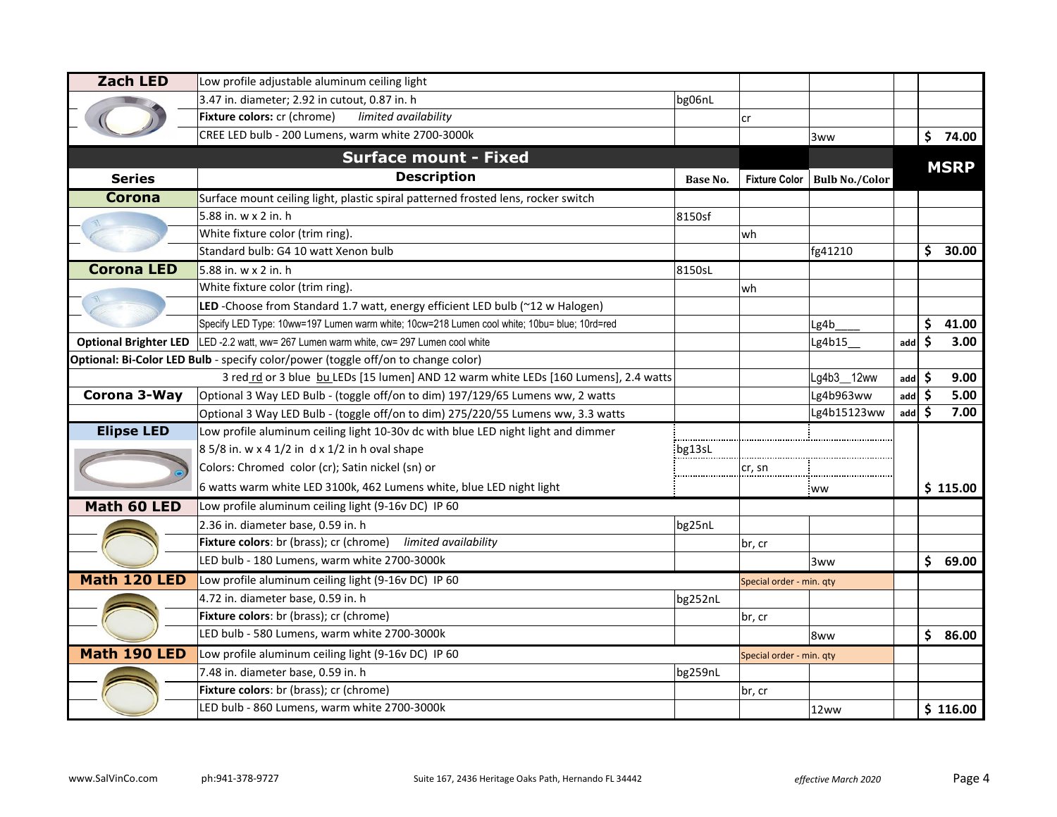| <b>Zach LED</b>              | Low profile adjustable aluminum ceiling light                                                |          |                          |                       |            |    |             |
|------------------------------|----------------------------------------------------------------------------------------------|----------|--------------------------|-----------------------|------------|----|-------------|
|                              | 3.47 in. diameter; 2.92 in cutout, 0.87 in. h                                                | bg06nL   |                          |                       |            |    |             |
|                              | Fixture colors: cr (chrome)<br>limited availability                                          |          | cr                       |                       |            |    |             |
|                              | CREE LED bulb - 200 Lumens, warm white 2700-3000k                                            |          |                          | 3ww                   |            |    | \$74.00     |
|                              | <b>Surface mount - Fixed</b>                                                                 |          |                          |                       |            |    | <b>MSRP</b> |
| <b>Series</b>                | <b>Description</b>                                                                           | Base No. | <b>Fixture Color</b>     | <b>Bulb No./Color</b> |            |    |             |
| <b>Corona</b>                | Surface mount ceiling light, plastic spiral patterned frosted lens, rocker switch            |          |                          |                       |            |    |             |
|                              | 5.88 in. w x 2 in. h                                                                         | 8150sf   |                          |                       |            |    |             |
|                              | White fixture color (trim ring).                                                             |          | wh                       |                       |            |    |             |
|                              | Standard bulb: G4 10 watt Xenon bulb                                                         |          |                          | fg41210               |            | \$ | 30.00       |
| <b>Corona LED</b>            | 5.88 in. w x 2 in. h                                                                         | 8150sL   |                          |                       |            |    |             |
|                              | White fixture color (trim ring).                                                             |          | wh                       |                       |            |    |             |
|                              | LED -Choose from Standard 1.7 watt, energy efficient LED bulb (~12 w Halogen)                |          |                          |                       |            |    |             |
|                              | Specify LED Type: 10ww=197 Lumen warm white; 10cw=218 Lumen cool white; 10bu= blue; 10rd=red |          |                          | Lg4b                  |            | \$ | 41.00       |
| <b>Optional Brighter LED</b> | LED -2.2 watt, ww= 267 Lumen warm white, cw= 297 Lumen cool white                            |          |                          | Lg4b15                | add        | \$ | 3.00        |
|                              | Optional: Bi-Color LED Bulb - specify color/power (toggle off/on to change color)            |          |                          |                       |            |    |             |
|                              | 3 red rd or 3 blue bu LEDs [15 lumen] AND 12 warm white LEDs [160 Lumens], 2.4 watts         |          |                          | Lg4b3_12ww            | add        | \$ | 9.00        |
| Corona 3-Way                 | Optional 3 Way LED Bulb - (toggle off/on to dim) 197/129/65 Lumens ww, 2 watts               |          |                          | Lg4b963ww             | add        | Ŝ. | 5.00        |
|                              | Optional 3 Way LED Bulb - (toggle off/on to dim) 275/220/55 Lumens ww, 3.3 watts             |          |                          | Lg4b15123ww           | $add \, 5$ |    | 7.00        |
| <b>Elipse LED</b>            | Low profile aluminum ceiling light 10-30v dc with blue LED night light and dimmer            |          |                          |                       |            |    |             |
|                              | $85/8$ in. w x 4 1/2 in d x 1/2 in h oval shape                                              | bg13sL   |                          |                       |            |    |             |
|                              | Colors: Chromed color (cr); Satin nickel (sn) or                                             |          | cr, sn                   |                       |            |    |             |
|                              | 6 watts warm white LED 3100k, 462 Lumens white, blue LED night light                         |          |                          | <b>WW</b>             |            |    | \$115.00    |
| Math 60 LED                  | Low profile aluminum ceiling light (9-16v DC) IP 60                                          |          |                          |                       |            |    |             |
|                              | 2.36 in. diameter base, 0.59 in. h                                                           | bg25nL   |                          |                       |            |    |             |
|                              | Fixture colors: br (brass); cr (chrome) limited availability                                 |          | br, cr                   |                       |            |    |             |
|                              | LED bulb - 180 Lumens, warm white 2700-3000k                                                 |          |                          | 3ww                   |            | \$ | 69.00       |
| Math 120 LED                 | Low profile aluminum ceiling light (9-16v DC) IP 60                                          |          | Special order - min. qty |                       |            |    |             |
|                              | 4.72 in. diameter base, 0.59 in. h                                                           | bg252nL  |                          |                       |            |    |             |
|                              | Fixture colors: br (brass); cr (chrome)                                                      |          | br, cr                   |                       |            |    |             |
|                              | LED bulb - 580 Lumens, warm white 2700-3000k                                                 |          |                          | 8ww                   |            | \$ | 86.00       |
| Math 190 LED                 | Low profile aluminum ceiling light (9-16v DC) IP 60                                          |          | Special order - min. qty |                       |            |    |             |
|                              | 7.48 in. diameter base, 0.59 in. h                                                           | bg259nL  |                          |                       |            |    |             |
|                              | Fixture colors: br (brass); cr (chrome)                                                      |          | br, cr                   |                       |            |    |             |
|                              | LED bulb - 860 Lumens, warm white 2700-3000k                                                 |          |                          | 12ww                  |            |    | \$116.00    |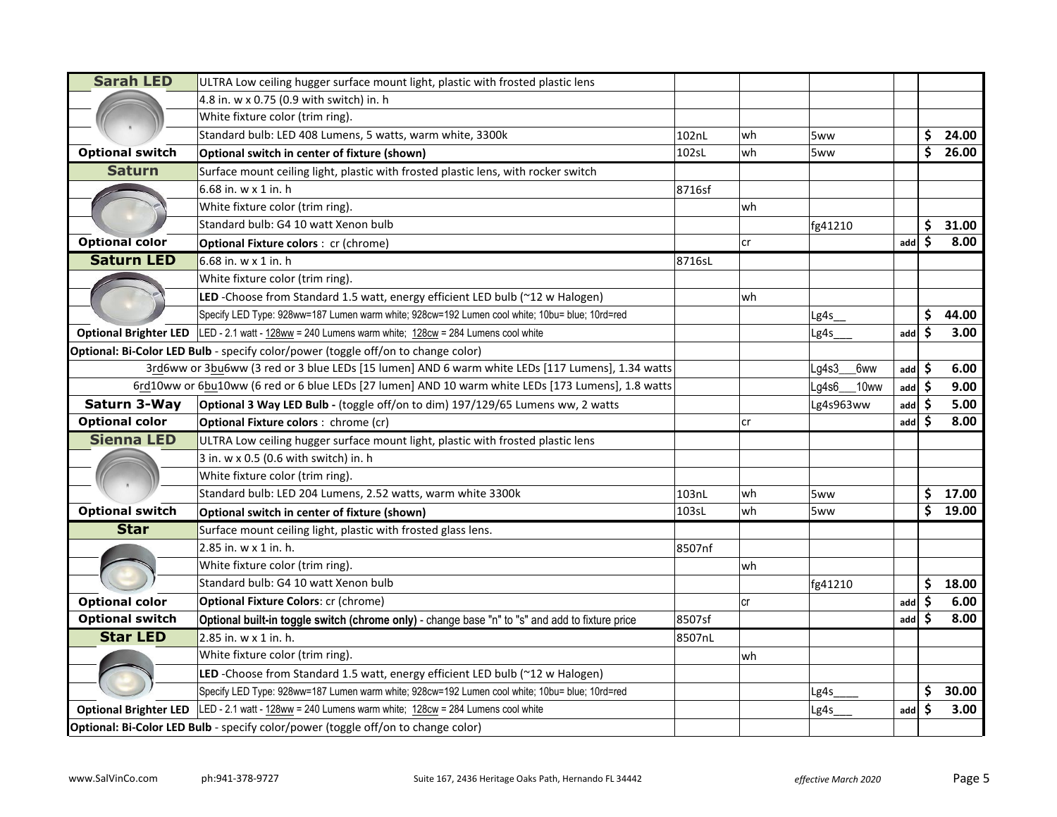| <b>Sarah LED</b>             | ULTRA Low ceiling hugger surface mount light, plastic with frosted plastic lens                    |        |    |                  |     |     |       |
|------------------------------|----------------------------------------------------------------------------------------------------|--------|----|------------------|-----|-----|-------|
|                              | 4.8 in. w x 0.75 (0.9 with switch) in. h                                                           |        |    |                  |     |     |       |
|                              | White fixture color (trim ring).                                                                   |        |    |                  |     |     |       |
|                              | Standard bulb: LED 408 Lumens, 5 watts, warm white, 3300k                                          | 102nL  | wh | 5ww              |     | \$  | 24.00 |
| <b>Optional switch</b>       | Optional switch in center of fixture (shown)                                                       | 102sL  | wh | 5ww              |     | \$  | 26.00 |
| <b>Saturn</b>                | Surface mount ceiling light, plastic with frosted plastic lens, with rocker switch                 |        |    |                  |     |     |       |
|                              | 6.68 in. w x 1 in. h                                                                               | 8716sf |    |                  |     |     |       |
|                              | White fixture color (trim ring).                                                                   |        | wh |                  |     |     |       |
|                              | Standard bulb: G4 10 watt Xenon bulb                                                               |        |    | fg41210          |     | \$  | 31.00 |
| <b>Optional color</b>        | <b>Optional Fixture colors: cr (chrome)</b>                                                        |        | cr |                  | add | Ś   | 8.00  |
| <b>Saturn LED</b>            | 6.68 in. w x 1 in. h                                                                               | 8716sL |    |                  |     |     |       |
|                              | White fixture color (trim ring).                                                                   |        |    |                  |     |     |       |
|                              | LED -Choose from Standard 1.5 watt, energy efficient LED bulb (~12 w Halogen)                      |        | wh |                  |     |     |       |
|                              | Specify LED Type: 928ww=187 Lumen warm white; 928cw=192 Lumen cool white; 10bu= blue; 10rd=red     |        |    | Lg4s             |     | \$  | 44.00 |
| <b>Optional Brighter LED</b> | LED - 2.1 watt - 128ww = 240 Lumens warm white; 128cw = 284 Lumens cool white                      |        |    | Lg4s             | add | \$  | 3.00  |
|                              | Optional: Bi-Color LED Bulb - specify color/power (toggle off/on to change color)                  |        |    |                  |     |     |       |
|                              | 3rd6ww or 3bu6ww (3 red or 3 blue LEDs [15 lumen] AND 6 warm white LEDs [117 Lumens], 1.34 watts   |        |    | Lg4s3<br>6ww     | add | \$  | 6.00  |
|                              | 6rd10ww or 6bu10ww (6 red or 6 blue LEDs [27 lumen] AND 10 warm white LEDs [173 Lumens], 1.8 watts |        |    | Lg4s6<br>$10$ ww | add | \$  | 9.00  |
| Saturn 3-Way                 | Optional 3 Way LED Bulb - (toggle off/on to dim) 197/129/65 Lumens ww, 2 watts                     |        |    | Lg4s963ww        | add | \$  | 5.00  |
| <b>Optional color</b>        | <b>Optional Fixture colors:</b> chrome (cr)                                                        |        | cr |                  | add | \$. | 8.00  |
| <b>Sienna LED</b>            | ULTRA Low ceiling hugger surface mount light, plastic with frosted plastic lens                    |        |    |                  |     |     |       |
|                              | $3$ in. w x 0.5 (0.6 with switch) in. h                                                            |        |    |                  |     |     |       |
|                              | White fixture color (trim ring).                                                                   |        |    |                  |     |     |       |
|                              | Standard bulb: LED 204 Lumens, 2.52 watts, warm white 3300k                                        | 103nL  | wh | 5ww              |     | \$. | 17.00 |
| <b>Optional switch</b>       | Optional switch in center of fixture (shown)                                                       | 103sL  | wh | 5ww              |     | \$  | 19.00 |
| <b>Star</b>                  | Surface mount ceiling light, plastic with frosted glass lens.                                      |        |    |                  |     |     |       |
|                              | 2.85 in. w x 1 in. h.                                                                              | 8507nf |    |                  |     |     |       |
|                              | White fixture color (trim ring).                                                                   |        | wh |                  |     |     |       |
|                              | Standard bulb: G4 10 watt Xenon bulb                                                               |        |    | fg41210          |     | \$  | 18.00 |
| <b>Optional color</b>        | <b>Optional Fixture Colors: cr (chrome)</b>                                                        |        | cr |                  | add | \$  | 6.00  |
| <b>Optional switch</b>       | Optional built-in toggle switch (chrome only) - change base "n" to "s" and add to fixture price    | 8507sf |    |                  | add | \$. | 8.00  |
| <b>Star LED</b>              | 2.85 in. w x 1 in. h.                                                                              | 8507nL |    |                  |     |     |       |
|                              | White fixture color (trim ring).                                                                   |        | wh |                  |     |     |       |
|                              | LED -Choose from Standard 1.5 watt, energy efficient LED bulb (~12 w Halogen)                      |        |    |                  |     |     |       |
|                              | Specify LED Type: 928ww=187 Lumen warm white; 928cw=192 Lumen cool white; 10bu= blue; 10rd=red     |        |    | Lg4s             |     | \$  | 30.00 |
| <b>Optional Brighter LED</b> | LED - 2.1 watt - 128ww = 240 Lumens warm white; 128cw = 284 Lumens cool white                      |        |    | Lg4s             | add | \$  | 3.00  |
|                              | Optional: Bi-Color LED Bulb - specify color/power (toggle off/on to change color)                  |        |    |                  |     |     |       |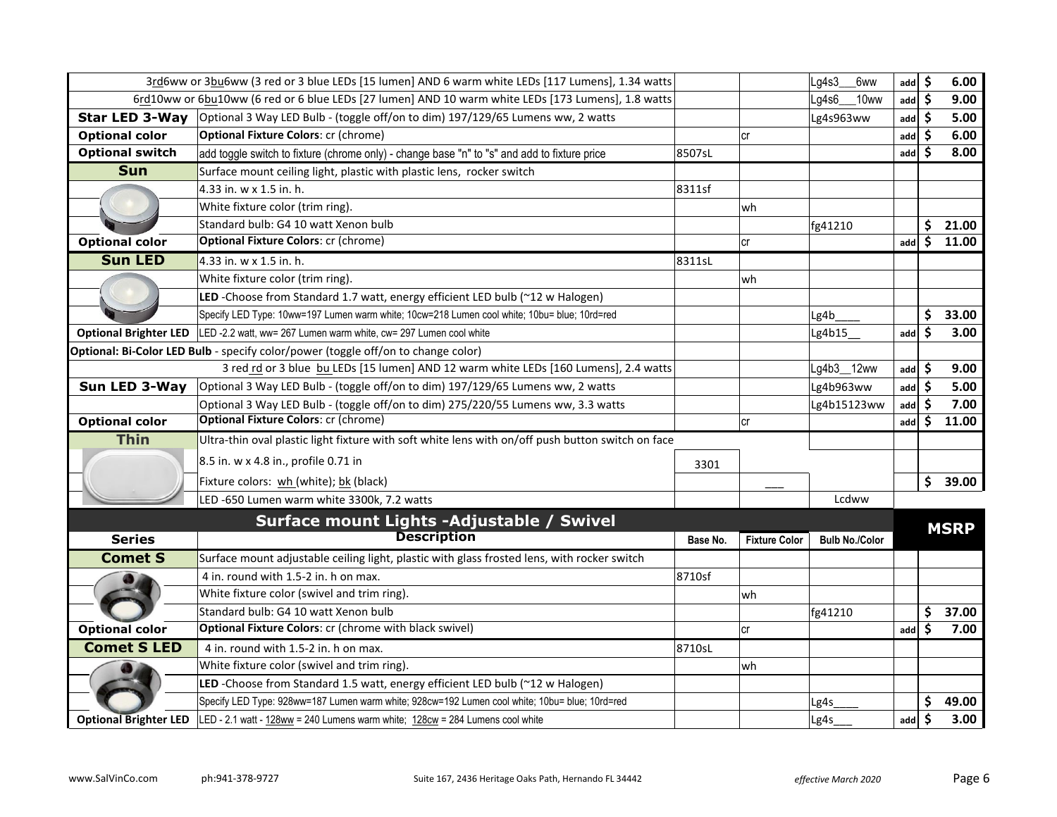|                              | 3rd6ww or 3bu6ww (3 red or 3 blue LEDs [15 lumen] AND 6 warm white LEDs [117 Lumens], 1.34 watts   |          |                      | Lg4s3<br>6ww          | add | \$ | 6.00        |
|------------------------------|----------------------------------------------------------------------------------------------------|----------|----------------------|-----------------------|-----|----|-------------|
|                              | 6rd10ww or 6bu10ww (6 red or 6 blue LEDs [27 lumen] AND 10 warm white LEDs [173 Lumens], 1.8 watts |          |                      | Lq4s6<br>10ww         | add | S  | 9.00        |
| <b>Star LED 3-Way</b>        | Optional 3 Way LED Bulb - (toggle off/on to dim) 197/129/65 Lumens ww, 2 watts                     |          |                      | Lg4s963ww             | add | \$ | 5.00        |
| <b>Optional color</b>        | <b>Optional Fixture Colors: cr (chrome)</b>                                                        |          | cr                   |                       | add |    | 6.00        |
| <b>Optional switch</b>       | add toggle switch to fixture (chrome only) - change base "n" to "s" and add to fixture price       | 8507sL   |                      |                       | add |    | 8.00        |
| <b>Sun</b>                   | Surface mount ceiling light, plastic with plastic lens, rocker switch                              |          |                      |                       |     |    |             |
|                              | 4.33 in. w x 1.5 in. h.                                                                            | 8311sf   |                      |                       |     |    |             |
|                              | White fixture color (trim ring).                                                                   |          | wh                   |                       |     |    |             |
|                              | Standard bulb: G4 10 watt Xenon bulb                                                               |          |                      | fg41210               |     | \$ | 21.00       |
| <b>Optional color</b>        | <b>Optional Fixture Colors: cr (chrome)</b>                                                        |          | <b>cr</b>            |                       | add | \$ | 11.00       |
| <b>Sun LED</b>               | 4.33 in. w x 1.5 in. h.                                                                            | 8311sL   |                      |                       |     |    |             |
|                              | White fixture color (trim ring).                                                                   |          | wh                   |                       |     |    |             |
|                              | LED -Choose from Standard 1.7 watt, energy efficient LED bulb (~12 w Halogen)                      |          |                      |                       |     |    |             |
|                              | Specify LED Type: 10ww=197 Lumen warm white; 10cw=218 Lumen cool white; 10bu= blue; 10rd=red       |          |                      | Lg4b                  |     | \$ | 33.00       |
| <b>Optional Brighter LED</b> | LED -2.2 watt, ww= 267 Lumen warm white, cw= 297 Lumen cool white                                  |          |                      | Lg4b15                | add | Ŝ  | 3.00        |
|                              | Optional: Bi-Color LED Bulb - specify color/power (toggle off/on to change color)                  |          |                      |                       |     |    |             |
|                              | 3 red rd or 3 blue bu LEDs [15 lumen] AND 12 warm white LEDs [160 Lumens], 2.4 watts               |          |                      | Lg4b3_12ww            | add | S  | 9.00        |
| Sun LED 3-Way                | Optional 3 Way LED Bulb - (toggle off/on to dim) 197/129/65 Lumens ww, 2 watts                     |          |                      | Lg4b963ww             | add | Ŝ  | 5.00        |
|                              | Optional 3 Way LED Bulb - (toggle off/on to dim) 275/220/55 Lumens ww, 3.3 watts                   |          |                      | Lg4b15123ww           | add |    | 7.00        |
| <b>Optional color</b>        | <b>Optional Fixture Colors: cr (chrome)</b>                                                        |          | cr                   |                       | add | Ś  | 11.00       |
| <b>Thin</b>                  | Ultra-thin oval plastic light fixture with soft white lens with on/off push button switch on face  |          |                      |                       |     |    |             |
|                              | 8.5 in. w x 4.8 in., profile 0.71 in                                                               | 3301     |                      |                       |     |    |             |
|                              | Fixture colors: wh (white); bk (black)                                                             |          |                      |                       |     | \$ | 39.00       |
|                              | LED -650 Lumen warm white 3300k, 7.2 watts                                                         |          |                      | Lcdww                 |     |    |             |
|                              | Surface mount Lights -Adjustable / Swivel                                                          |          |                      |                       |     |    |             |
| <b>Series</b>                | <b>Description</b>                                                                                 | Base No. | <b>Fixture Color</b> | <b>Bulb No./Color</b> |     |    | <b>MSRP</b> |
| <b>Comet S</b>               | Surface mount adjustable ceiling light, plastic with glass frosted lens, with rocker switch        |          |                      |                       |     |    |             |
|                              | 4 in. round with 1.5-2 in. h on max.                                                               | 8710sf   |                      |                       |     |    |             |
|                              | White fixture color (swivel and trim ring).                                                        |          | wh                   |                       |     |    |             |
|                              | Standard bulb: G4 10 watt Xenon bulb                                                               |          |                      | fg41210               |     | \$ | 37.00       |
| <b>Optional color</b>        | Optional Fixture Colors: cr (chrome with black swivel)                                             |          | cr                   |                       | add | Ś  | 7.00        |
| <b>Comet S LED</b>           | 4 in. round with 1.5-2 in. h on max.                                                               | 8710sL   |                      |                       |     |    |             |
|                              | White fixture color (swivel and trim ring).                                                        |          | wh                   |                       |     |    |             |
|                              | LED -Choose from Standard 1.5 watt, energy efficient LED bulb (~12 w Halogen)                      |          |                      |                       |     |    |             |
|                              | Specify LED Type: 928ww=187 Lumen warm white; 928cw=192 Lumen cool white; 10bu= blue; 10rd=red     |          |                      | Lg4s                  |     | \$ | 49.00       |
| <b>Optional Brighter LED</b> | LED - 2.1 watt - $128ww = 240$ Lumens warm white; $128cw = 284$ Lumens cool white                  |          |                      | Lg4s                  | add | \$ | 3.00        |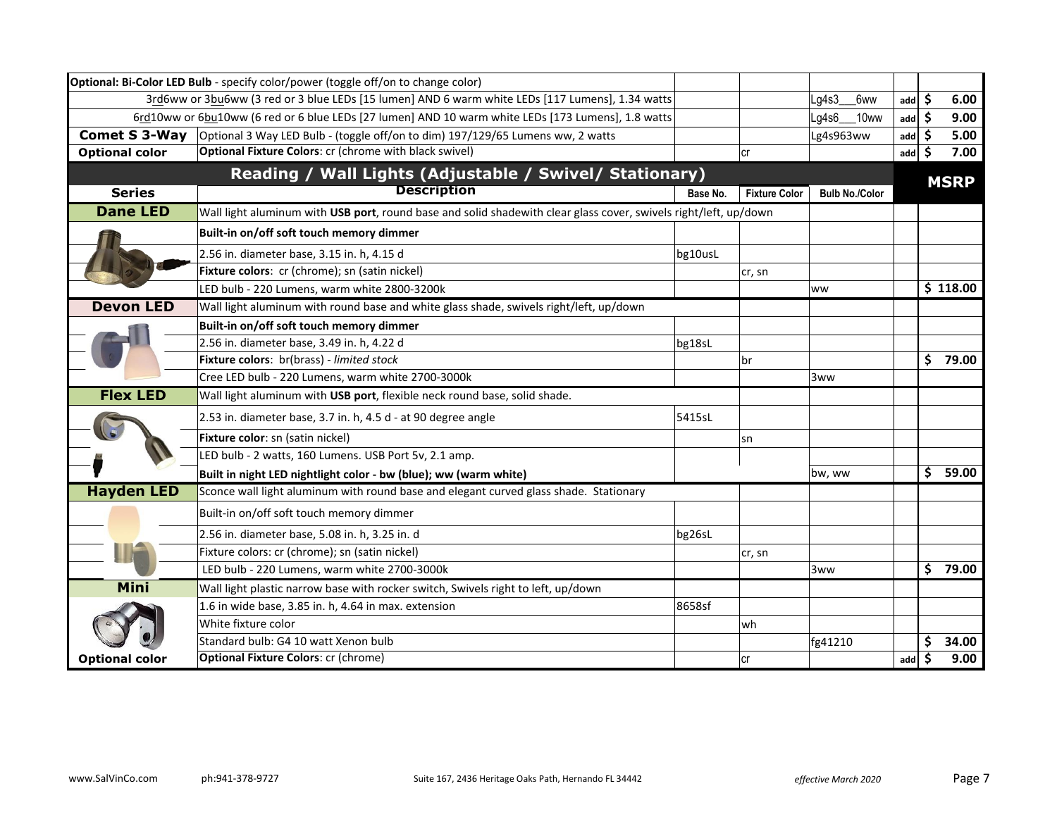|                       | Optional: Bi-Color LED Bulb - specify color/power (toggle off/on to change color)                                |          |                      |                       |     |    |             |
|-----------------------|------------------------------------------------------------------------------------------------------------------|----------|----------------------|-----------------------|-----|----|-------------|
|                       | 3rd6ww or 3bu6ww (3 red or 3 blue LEDs [15 lumen] AND 6 warm white LEDs [117 Lumens], 1.34 watts                 |          |                      | Lg4s3<br>6ww          | add | \$ | 6.00        |
|                       | 6rd10ww or 6bu10ww (6 red or 6 blue LEDs [27 lumen] AND 10 warm white LEDs [173 Lumens], 1.8 watts               |          |                      | Lg4s6<br>10ww         | add | -Ś | 9.00        |
| <b>Comet S 3-Way</b>  | Optional 3 Way LED Bulb - (toggle off/on to dim) 197/129/65 Lumens ww, 2 watts                                   |          |                      | Lg4s963ww             | add | .S | 5.00        |
| <b>Optional color</b> | <b>Optional Fixture Colors:</b> cr (chrome with black swivel)                                                    |          | lcr                  |                       | add | .S | 7.00        |
|                       | Reading / Wall Lights (Adjustable / Swivel/ Stationary)                                                          |          |                      |                       |     |    | <b>MSRP</b> |
| <b>Series</b>         | <b>Description</b>                                                                                               | Base No. | <b>Fixture Color</b> | <b>Bulb No./Color</b> |     |    |             |
| <b>Dane LED</b>       | Wall light aluminum with USB port, round base and solid shadewith clear glass cover, swivels right/left, up/down |          |                      |                       |     |    |             |
|                       | Built-in on/off soft touch memory dimmer                                                                         |          |                      |                       |     |    |             |
|                       | 2.56 in. diameter base, 3.15 in. h, 4.15 d                                                                       | bg10usL  |                      |                       |     |    |             |
|                       | Fixture colors: cr (chrome); sn (satin nickel)                                                                   |          | cr, sn               |                       |     |    |             |
|                       | LED bulb - 220 Lumens, warm white 2800-3200k                                                                     |          |                      | ww                    |     |    | \$118.00    |
| <b>Devon LED</b>      | Wall light aluminum with round base and white glass shade, swivels right/left, up/down                           |          |                      |                       |     |    |             |
|                       | Built-in on/off soft touch memory dimmer                                                                         |          |                      |                       |     |    |             |
|                       | 2.56 in. diameter base, 3.49 in. h, 4.22 d                                                                       | bg18sL   |                      |                       |     |    |             |
|                       | Fixture colors: br(brass) - limited stock                                                                        |          | br                   |                       |     |    | \$79.00     |
|                       | Cree LED bulb - 220 Lumens, warm white 2700-3000k                                                                |          |                      | 3ww                   |     |    |             |
| <b>Flex LED</b>       | Wall light aluminum with USB port, flexible neck round base, solid shade.                                        |          |                      |                       |     |    |             |
|                       | 2.53 in. diameter base, 3.7 in. h, 4.5 d - at 90 degree angle                                                    | 5415sL   |                      |                       |     |    |             |
|                       | Fixture color: sn (satin nickel)                                                                                 |          | sn                   |                       |     |    |             |
|                       | LED bulb - 2 watts, 160 Lumens. USB Port 5v, 2.1 amp.                                                            |          |                      |                       |     |    |             |
|                       | Built in night LED nightlight color - bw (blue); ww (warm white)                                                 |          |                      | bw, ww                |     | \$ | 59.00       |
| <b>Hayden LED</b>     | Sconce wall light aluminum with round base and elegant curved glass shade. Stationary                            |          |                      |                       |     |    |             |
|                       | Built-in on/off soft touch memory dimmer                                                                         |          |                      |                       |     |    |             |
|                       | 2.56 in. diameter base, 5.08 in. h, 3.25 in. d                                                                   | bg26sL   |                      |                       |     |    |             |
|                       | Fixture colors: cr (chrome); sn (satin nickel)                                                                   |          | cr, sn               |                       |     |    |             |
|                       | LED bulb - 220 Lumens, warm white 2700-3000k                                                                     |          |                      | 3ww                   |     | \$ | 79.00       |
| Mini                  | Wall light plastic narrow base with rocker switch, Swivels right to left, up/down                                |          |                      |                       |     |    |             |
|                       | 1.6 in wide base, 3.85 in. h, 4.64 in max. extension                                                             | 8658sf   |                      |                       |     |    |             |
|                       | White fixture color                                                                                              |          | wh                   |                       |     |    |             |
|                       | Standard bulb: G4 10 watt Xenon bulb                                                                             |          |                      | fg41210               |     |    | 34.00       |
| <b>Optional color</b> | <b>Optional Fixture Colors: cr (chrome)</b>                                                                      |          | lcr                  |                       | add |    | 9.00        |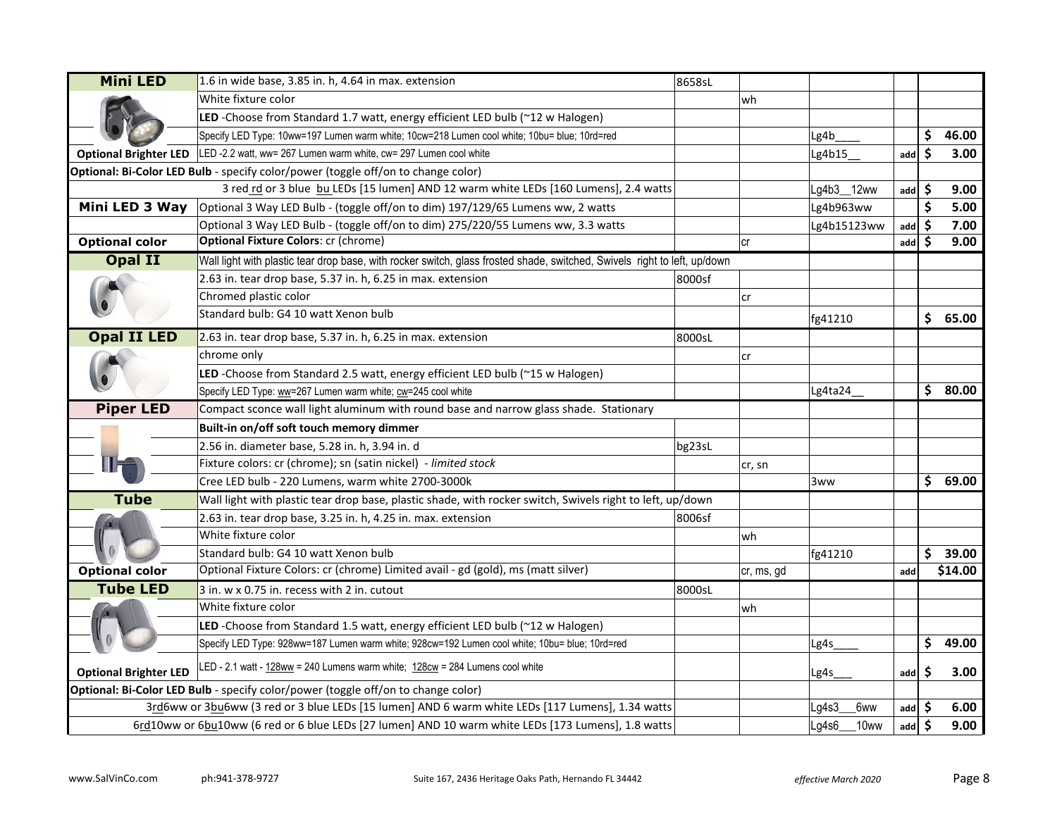| <b>Mini LED</b>                                                                   | 1.6 in wide base, 3.85 in. h, 4.64 in max. extension                                                                      | 8658sL |            |                  |     |    |         |
|-----------------------------------------------------------------------------------|---------------------------------------------------------------------------------------------------------------------------|--------|------------|------------------|-----|----|---------|
|                                                                                   | White fixture color                                                                                                       |        | wh         |                  |     |    |         |
|                                                                                   | LED -Choose from Standard 1.7 watt, energy efficient LED bulb (~12 w Halogen)                                             |        |            |                  |     |    |         |
|                                                                                   | Specify LED Type: 10ww=197 Lumen warm white; 10cw=218 Lumen cool white; 10bu= blue; 10rd=red                              |        |            | Lg4b             |     | \$ | 46.00   |
| <b>Optional Brighter LED</b>                                                      | LED -2.2 watt, ww= 267 Lumen warm white, cw= 297 Lumen cool white                                                         |        |            | Lg4b15           | add | \$ | 3.00    |
|                                                                                   | Optional: Bi-Color LED Bulb - specify color/power (toggle off/on to change color)                                         |        |            |                  |     |    |         |
|                                                                                   | 3 red rd or 3 blue bu LEDs [15 lumen] AND 12 warm white LEDs [160 Lumens], 2.4 watts                                      |        |            | Lg4b3_12ww       | add | \$ | 9.00    |
| Mini LED 3 Way                                                                    | Optional 3 Way LED Bulb - (toggle off/on to dim) 197/129/65 Lumens ww, 2 watts                                            |        |            | Lg4b963ww        |     | \$ | 5.00    |
|                                                                                   | Optional 3 Way LED Bulb - (toggle off/on to dim) 275/220/55 Lumens ww, 3.3 watts                                          |        |            | Lg4b15123ww      | add | \$ | 7.00    |
| <b>Optional color</b>                                                             | <b>Optional Fixture Colors: cr (chrome)</b>                                                                               |        | cr         |                  | add | Ŝ. | 9.00    |
| Opal II                                                                           | Wall light with plastic tear drop base, with rocker switch, glass frosted shade, switched, Swivels right to left, up/down |        |            |                  |     |    |         |
|                                                                                   | 2.63 in. tear drop base, 5.37 in. h, 6.25 in max. extension                                                               | 8000sf |            |                  |     |    |         |
|                                                                                   | Chromed plastic color                                                                                                     |        | cr         |                  |     |    |         |
|                                                                                   | Standard bulb: G4 10 watt Xenon bulb                                                                                      |        |            | fg41210          |     |    | \$65.00 |
| <b>Opal II LED</b>                                                                | 2.63 in. tear drop base, 5.37 in. h, 6.25 in max. extension                                                               | 8000sL |            |                  |     |    |         |
|                                                                                   | chrome only                                                                                                               |        | cr         |                  |     |    |         |
|                                                                                   | LED -Choose from Standard 2.5 watt, energy efficient LED bulb (~15 w Halogen)                                             |        |            |                  |     |    |         |
|                                                                                   | Specify LED Type: ww=267 Lumen warm white; cw=245 cool white                                                              |        |            | Lg4ta24          |     |    | \$80.00 |
| <b>Piper LED</b>                                                                  | Compact sconce wall light aluminum with round base and narrow glass shade. Stationary                                     |        |            |                  |     |    |         |
|                                                                                   | Built-in on/off soft touch memory dimmer                                                                                  |        |            |                  |     |    |         |
|                                                                                   | 2.56 in. diameter base, 5.28 in. h, 3.94 in. d                                                                            | bg23sL |            |                  |     |    |         |
|                                                                                   | Fixture colors: cr (chrome); sn (satin nickel) - limited stock                                                            |        | cr, sn     |                  |     |    |         |
|                                                                                   | Cree LED bulb - 220 Lumens, warm white 2700-3000k                                                                         |        |            | 3ww              |     |    | \$69.00 |
| <b>Tube</b>                                                                       | Wall light with plastic tear drop base, plastic shade, with rocker switch, Swivels right to left, up/down                 |        |            |                  |     |    |         |
|                                                                                   | 2.63 in. tear drop base, 3.25 in. h, 4.25 in. max. extension                                                              | 8006sf |            |                  |     |    |         |
|                                                                                   | White fixture color                                                                                                       |        | wh         |                  |     |    |         |
|                                                                                   | Standard bulb: G4 10 watt Xenon bulb                                                                                      |        |            | fg41210          |     | \$ | 39.00   |
| <b>Optional color</b>                                                             | Optional Fixture Colors: cr (chrome) Limited avail - gd (gold), ms (matt silver)                                          |        | cr, ms, gd |                  | add |    | \$14.00 |
| <b>Tube LED</b>                                                                   | 3 in. w x 0.75 in. recess with 2 in. cutout                                                                               | 8000sL |            |                  |     |    |         |
|                                                                                   | White fixture color                                                                                                       |        | wh         |                  |     |    |         |
|                                                                                   | LED -Choose from Standard 1.5 watt, energy efficient LED bulb (~12 w Halogen)                                             |        |            |                  |     |    |         |
|                                                                                   | Specify LED Type: 928ww=187 Lumen warm white; 928cw=192 Lumen cool white; 10bu= blue; 10rd=red                            |        |            | Lg4s             |     | \$ | 49.00   |
|                                                                                   | LED - 2.1 watt - 128ww = 240 Lumens warm white; 128cw = 284 Lumens cool white                                             |        |            |                  |     |    |         |
| <b>Optional Brighter LED</b>                                                      |                                                                                                                           |        |            | Lg4s             | add | S  | 3.00    |
| Optional: Bi-Color LED Bulb - specify color/power (toggle off/on to change color) |                                                                                                                           |        |            |                  |     |    |         |
|                                                                                   | 3rd6ww or 3bu6ww (3 red or 3 blue LEDs [15 lumen] AND 6 warm white LEDs [117 Lumens], 1.34 watts                          |        |            | Lg4s3_<br>6ww    | add | Ŝ. | 6.00    |
|                                                                                   | 6rd10ww or 6bu10ww (6 red or 6 blue LEDs [27 lumen] AND 10 warm white LEDs [173 Lumens], 1.8 watts                        |        |            | Lg4s6<br>$10$ ww | add | \$ | 9.00    |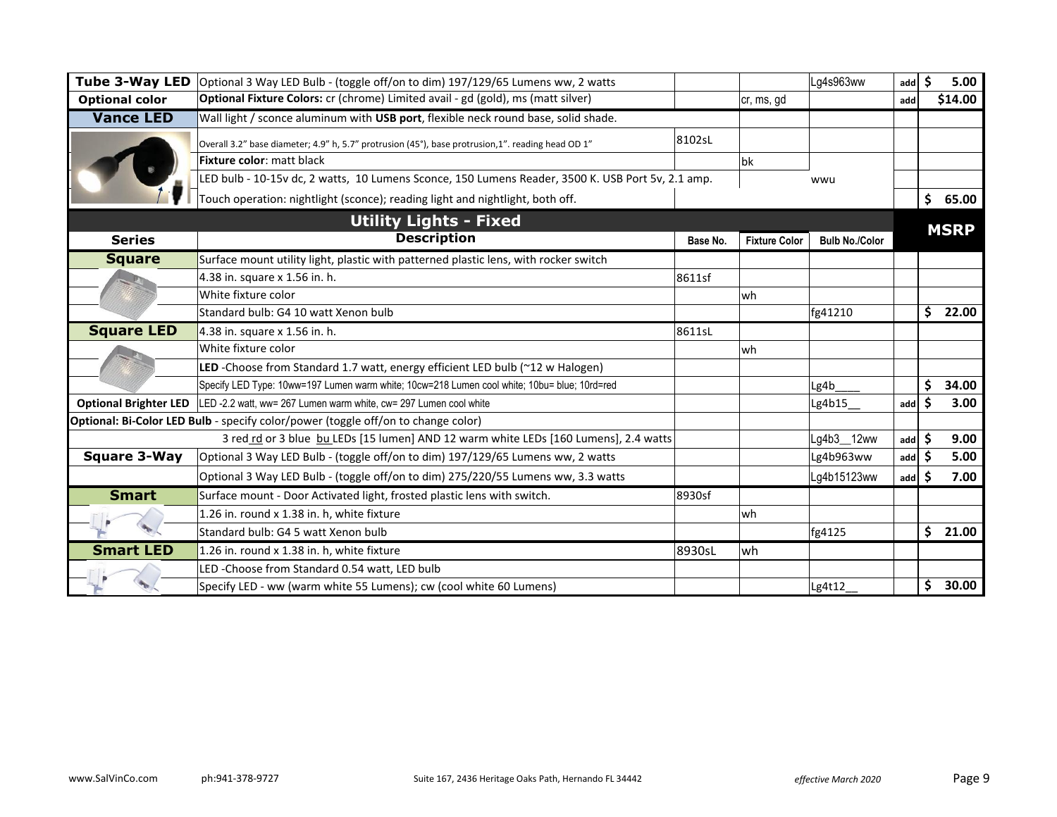| <b>Tube 3-Way LED</b>        | Optional 3 Way LED Bulb - (toggle off/on to dim) 197/129/65 Lumens ww, 2 watts                    |          |                      | Lg4s963ww             | add | \$  | 5.00        |
|------------------------------|---------------------------------------------------------------------------------------------------|----------|----------------------|-----------------------|-----|-----|-------------|
| <b>Optional color</b>        | Optional Fixture Colors: cr (chrome) Limited avail - gd (gold), ms (matt silver)                  |          | ∣cr, ms, gd          |                       | add |     | \$14.00     |
| <b>Vance LED</b>             | Wall light / sconce aluminum with USB port, flexible neck round base, solid shade.                |          |                      |                       |     |     |             |
|                              | Overall 3.2" base diameter; 4.9" h, 5.7" protrusion (45°), base protrusion,1". reading head OD 1" | 8102sL   |                      |                       |     |     |             |
|                              | Fixture color: matt black                                                                         |          | <b>bk</b>            |                       |     |     |             |
|                              | LED bulb - 10-15v dc, 2 watts, 10 Lumens Sconce, 150 Lumens Reader, 3500 K. USB Port 5v, 2.1 amp. |          |                      | wwu                   |     |     |             |
|                              | Touch operation: nightlight (sconce); reading light and nightlight, both off.                     |          |                      |                       |     | \$  | 65.00       |
|                              | <b>Utility Lights - Fixed</b>                                                                     |          |                      |                       |     |     |             |
| <b>Series</b>                | <b>Description</b>                                                                                | Base No. | <b>Fixture Color</b> | <b>Bulb No./Color</b> |     |     | <b>MSRP</b> |
| <b>Square</b>                | Surface mount utility light, plastic with patterned plastic lens, with rocker switch              |          |                      |                       |     |     |             |
|                              | 4.38 in. square x 1.56 in. h.                                                                     | 8611sf   |                      |                       |     |     |             |
|                              | White fixture color                                                                               |          | wh                   |                       |     |     |             |
|                              | Standard bulb: G4 10 watt Xenon bulb                                                              |          |                      | fg41210               |     | \$  | 22.00       |
| <b>Square LED</b>            | 4.38 in. square x 1.56 in. h.                                                                     | 8611sL   |                      |                       |     |     |             |
|                              | White fixture color                                                                               |          | wh                   |                       |     |     |             |
|                              | LED -Choose from Standard 1.7 watt, energy efficient LED bulb (~12 w Halogen)                     |          |                      |                       |     |     |             |
|                              | Specify LED Type: 10ww=197 Lumen warm white; 10cw=218 Lumen cool white; 10bu= blue; 10rd=red      |          |                      | Lg4b                  |     | \$  | 34.00       |
| <b>Optional Brighter LED</b> | LED -2.2 watt, ww= 267 Lumen warm white, cw= 297 Lumen cool white                                 |          |                      | Lg4b15_               | add | S   | 3.00        |
|                              | Optional: Bi-Color LED Bulb - specify color/power (toggle off/on to change color)                 |          |                      |                       |     |     |             |
|                              | 3 red rd or 3 blue bu LEDs [15 lumen] AND 12 warm white LEDs [160 Lumens], 2.4 watts              |          |                      | Lg4b3_12ww            | add | S   | 9.00        |
| <b>Square 3-Way</b>          | Optional 3 Way LED Bulb - (toggle off/on to dim) 197/129/65 Lumens ww, 2 watts                    |          |                      | Lg4b963ww             | add |     | 5.00        |
|                              | Optional 3 Way LED Bulb - (toggle off/on to dim) 275/220/55 Lumens ww, 3.3 watts                  |          |                      | Lg4b15123ww           | add | S   | 7.00        |
| <b>Smart</b>                 | Surface mount - Door Activated light, frosted plastic lens with switch.                           | 8930sf   |                      |                       |     |     |             |
|                              | 1.26 in. round x 1.38 in. h, white fixture                                                        |          | wh                   |                       |     |     |             |
|                              | Standard bulb: G4 5 watt Xenon bulb                                                               |          |                      | fg4125                |     | \$. | 21.00       |
| <b>Smart LED</b>             | 1.26 in. round x 1.38 in. h, white fixture                                                        | 8930sL   | wh                   |                       |     |     |             |
|                              | LED-Choose from Standard 0.54 watt, LED bulb                                                      |          |                      |                       |     |     |             |
|                              | Specify LED - ww (warm white 55 Lumens); cw (cool white 60 Lumens)                                |          |                      | Lg4t12                |     | \$  | 30.00       |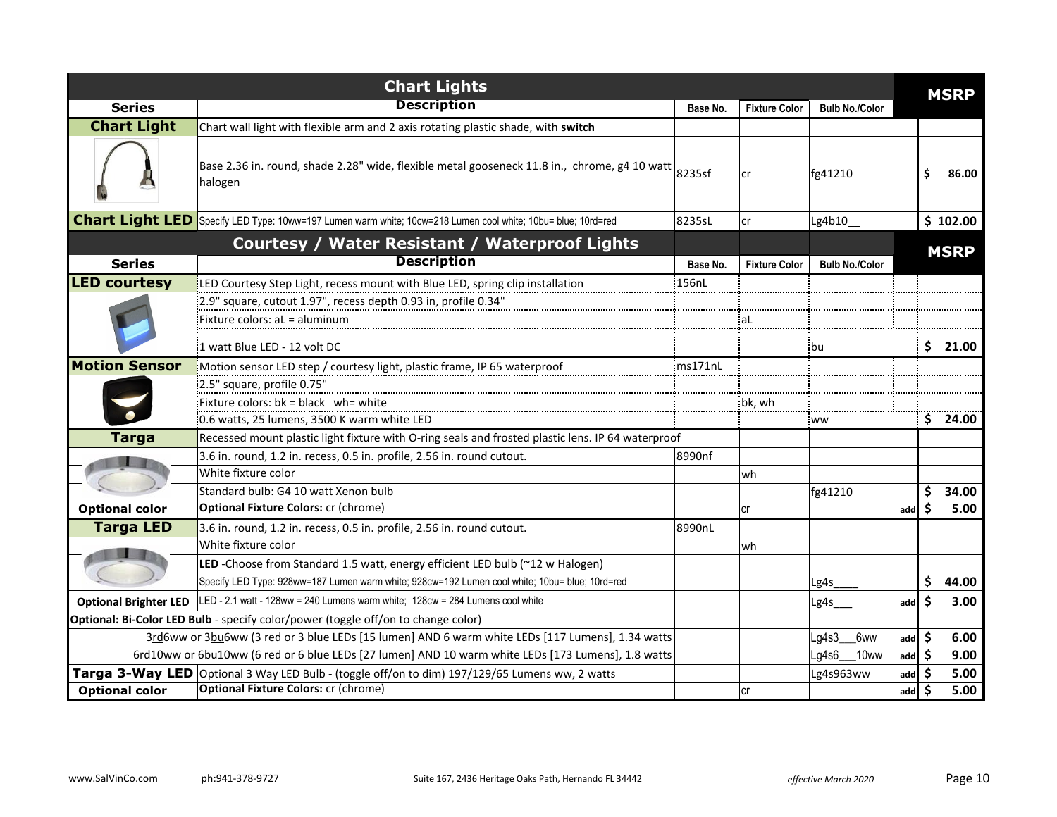| <b>Chart Lights</b>   |                                                                                                                                      |          |                      |                       |                   |    | <b>MSRP</b> |
|-----------------------|--------------------------------------------------------------------------------------------------------------------------------------|----------|----------------------|-----------------------|-------------------|----|-------------|
| <b>Series</b>         | <b>Description</b>                                                                                                                   | Base No. | <b>Fixture Color</b> | <b>Bulb No./Color</b> |                   |    |             |
| <b>Chart Light</b>    | Chart wall light with flexible arm and 2 axis rotating plastic shade, with switch                                                    |          |                      |                       |                   |    |             |
|                       | Base 2.36 in. round, shade 2.28" wide, flexible metal gooseneck 11.8 in., $\,$ chrome, g4 10 watt $\, \Big _{\rm 8235sf}$<br>halogen |          | lcr                  | fg41210               |                   |    | 86.00       |
|                       | Chart Light LED Specify LED Type: 10ww=197 Lumen warm white; 10cw=218 Lumen cool white; 10bu= blue; 10rd=red                         | 8235sL   | lcr                  | Lg4b10_               |                   |    | \$102.00    |
|                       | <b>Courtesy / Water Resistant / Waterproof Lights</b>                                                                                |          |                      |                       |                   |    | <b>MSRP</b> |
| <b>Series</b>         | <b>Description</b>                                                                                                                   | Base No. | <b>Fixture Color</b> | <b>Bulb No./Color</b> |                   |    |             |
| <b>LED courtesy</b>   | LED Courtesy Step Light, recess mount with Blue LED, spring clip installation                                                        | :156nL   |                      |                       |                   |    |             |
|                       | :2.9" square, cutout 1.97", recess depth 0.93 in, profile 0.34"                                                                      |          |                      |                       |                   |    |             |
|                       | Fixture colors: aL = aluminum                                                                                                        |          | aL.                  |                       |                   |    |             |
|                       | 1 watt Blue LED - 12 volt DC                                                                                                         |          |                      | .bu                   |                   | S. | 21.00       |
| <b>Motion Sensor</b>  | Motion sensor LED step / courtesy light, plastic frame, IP 65 waterproof                                                             | ms171nL  |                      |                       |                   |    |             |
|                       | 2.5" square, profile 0.75"                                                                                                           |          |                      |                       |                   |    |             |
|                       | Fixture colors: $bk = black$ wh= white                                                                                               |          | bk, wh               |                       |                   |    |             |
|                       | 0.6 watts, 25 lumens, 3500 K warm white LED                                                                                          |          |                      | <b>WW</b>             |                   |    | \$24.00     |
| <b>Targa</b>          | Recessed mount plastic light fixture with O-ring seals and frosted plastic lens. IP 64 waterproof                                    |          |                      |                       |                   |    |             |
|                       | 3.6 in. round, 1.2 in. recess, 0.5 in. profile, 2.56 in. round cutout.                                                               | 8990nf   |                      |                       |                   |    |             |
|                       | White fixture color                                                                                                                  |          | lwh                  |                       |                   |    |             |
|                       | Standard bulb: G4 10 watt Xenon bulb                                                                                                 |          |                      | fg41210               |                   | \$ | 34.00       |
| <b>Optional color</b> | <b>Optional Fixture Colors: cr (chrome)</b>                                                                                          |          | lcr                  |                       | add               | Ś  | 5.00        |
| <b>Targa LED</b>      | 3.6 in. round, 1.2 in. recess, 0.5 in. profile, 2.56 in. round cutout.                                                               | 8990nL   |                      |                       |                   |    |             |
|                       | White fixture color                                                                                                                  |          | wh                   |                       |                   |    |             |
|                       | LED -Choose from Standard 1.5 watt, energy efficient LED bulb (~12 w Halogen)                                                        |          |                      |                       |                   |    |             |
|                       | Specify LED Type: 928ww=187 Lumen warm white; 928cw=192 Lumen cool white; 10bu= blue; 10rd=red                                       |          |                      | Lg4s                  |                   | \$ | 44.00       |
|                       | Optional Brighter LED   LED - 2.1 watt - 128ww = 240 Lumens warm white; 128cw = 284 Lumens cool white                                |          |                      | Lg4s                  | add               | \$ | 3.00        |
|                       | <b>Optional: Bi-Color LED Bulb</b> - specify color/power (toggle off/on to change color)                                             |          |                      |                       |                   |    |             |
|                       | 3rd6ww or 3bu6ww (3 red or 3 blue LEDs [15 lumen] AND 6 warm white LEDs [117 Lumens], 1.34 watts                                     |          |                      | Lq4s3<br>6ww          | add $\frac{1}{2}$ |    | 6.00        |
|                       | 6rd10ww or 6bu10ww (6 red or 6 blue LEDs [27 lumen] AND 10 warm white LEDs [173 Lumens], 1.8 watts                                   |          |                      | Lq4s6<br>$10$ ww      | add $\frac{1}{2}$ |    | 9.00        |
|                       | Targa 3-Way LED Optional 3 Way LED Bulb - (toggle off/on to dim) 197/129/65 Lumens ww, 2 watts                                       |          |                      | Lg4s963ww             | $add \, 5$        |    | 5.00        |
| <b>Optional color</b> | <b>Optional Fixture Colors: cr (chrome)</b>                                                                                          |          | lcr                  |                       | $add \, 5$        |    | 5.00        |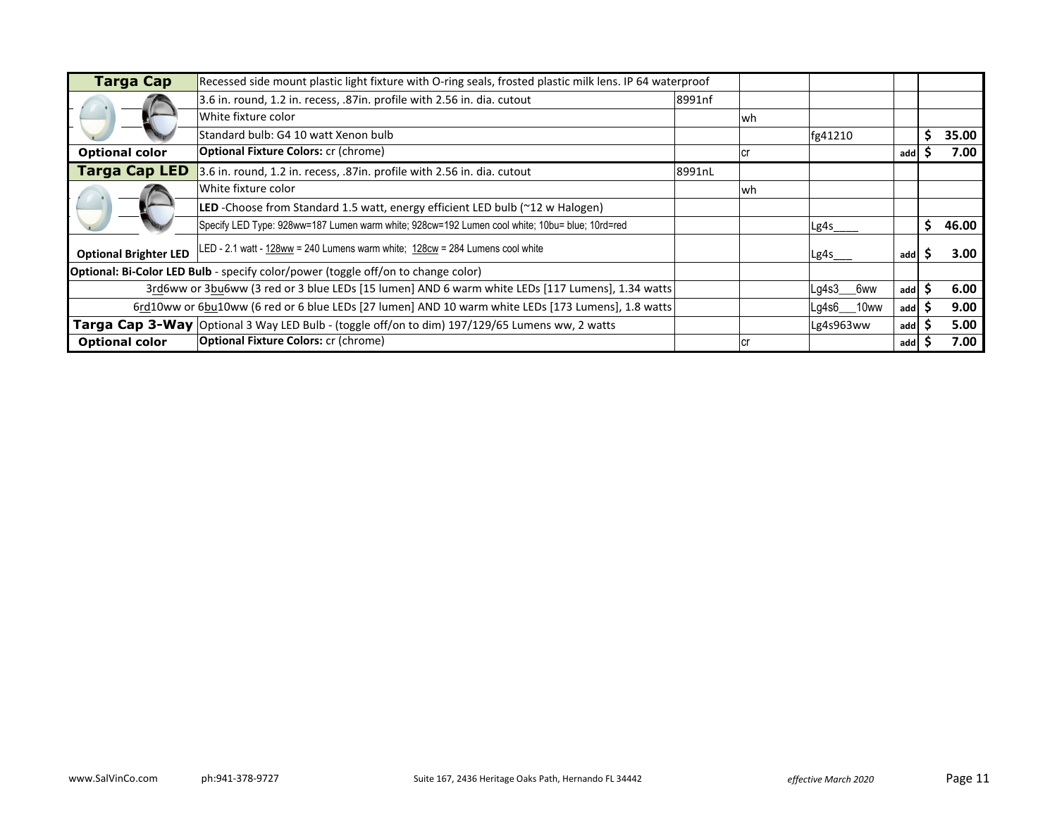| <b>Targa Cap</b>             | Recessed side mount plastic light fixture with O-ring seals, frosted plastic milk lens. IP 64 waterproof |        |      |              |     |       |
|------------------------------|----------------------------------------------------------------------------------------------------------|--------|------|--------------|-----|-------|
|                              | 3.6 in. round, 1.2 in. recess, .87in. profile with 2.56 in. dia. cutout                                  | 8991nf |      |              |     |       |
|                              | White fixture color                                                                                      |        | lwh  |              |     |       |
|                              | Standard bulb: G4 10 watt Xenon bulb                                                                     |        |      | fg41210      |     | 35.00 |
| <b>Optional color</b>        | <b>Optional Fixture Colors: cr (chrome)</b>                                                              |        | l Cl |              | add | 7.00  |
| <b>Targa Cap LED</b>         | 3.6 in. round, 1.2 in. recess, .87in. profile with 2.56 in. dia. cutout                                  | 8991nL |      |              |     |       |
|                              | White fixture color                                                                                      |        | lwh  |              |     |       |
|                              | LED -Choose from Standard 1.5 watt, energy efficient LED bulb (~12 w Halogen)                            |        |      |              |     |       |
|                              | Specify LED Type: 928ww=187 Lumen warm white; 928cw=192 Lumen cool white; 10bu= blue; 10rd=red           |        |      | Lg4s         |     | 46.00 |
| <b>Optional Brighter LED</b> | LED - 2.1 watt - 128ww = 240 Lumens warm white; 128cw = 284 Lumens cool white                            |        |      | Lg4s         | add | 3.00  |
|                              | <b>Optional: Bi-Color LED Bulb</b> - specify color/power (toggle off/on to change color)                 |        |      |              |     |       |
|                              | 3rd6ww or 3bu6ww (3 red or 3 blue LEDs [15 lumen] AND 6 warm white LEDs [117 Lumens], 1.34 watts         |        |      | Lg4s3<br>6ww | add | 6.00  |
|                              | 6rd10ww or 6bu10ww (6 red or 6 blue LEDs [27 lumen] AND 10 warm white LEDs [173 Lumens], 1.8 watts       |        |      | Lg4s6___10ww | add | 9.00  |
|                              | <b>Targa Cap 3-Way</b> Optional 3 Way LED Bulb - (toggle off/on to dim) 197/129/65 Lumens ww, 2 watts    |        |      | Lg4s963ww    | add | 5.00  |
| <b>Optional color</b>        | <b>Optional Fixture Colors: cr (chrome)</b>                                                              |        | lcr  |              | add | 7.00  |